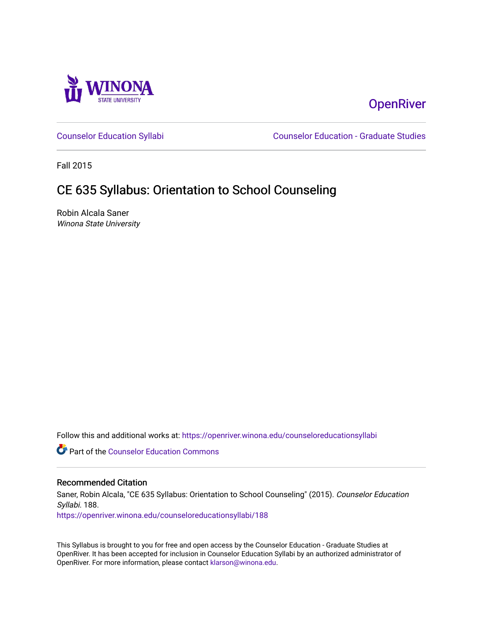

# **OpenRiver**

[Counselor Education Syllabi](https://openriver.winona.edu/counseloreducationsyllabi) [Counselor Education - Graduate Studies](https://openriver.winona.edu/counseloreducation) 

Fall 2015

# CE 635 Syllabus: Orientation to School Counseling

Robin Alcala Saner Winona State University

Follow this and additional works at: [https://openriver.winona.edu/counseloreducationsyllabi](https://openriver.winona.edu/counseloreducationsyllabi?utm_source=openriver.winona.edu%2Fcounseloreducationsyllabi%2F188&utm_medium=PDF&utm_campaign=PDFCoverPages)

Part of the [Counselor Education Commons](http://network.bepress.com/hgg/discipline/1278?utm_source=openriver.winona.edu%2Fcounseloreducationsyllabi%2F188&utm_medium=PDF&utm_campaign=PDFCoverPages) 

#### Recommended Citation

Saner, Robin Alcala, "CE 635 Syllabus: Orientation to School Counseling" (2015). Counselor Education Syllabi. 188.

[https://openriver.winona.edu/counseloreducationsyllabi/188](https://openriver.winona.edu/counseloreducationsyllabi/188?utm_source=openriver.winona.edu%2Fcounseloreducationsyllabi%2F188&utm_medium=PDF&utm_campaign=PDFCoverPages)

This Syllabus is brought to you for free and open access by the Counselor Education - Graduate Studies at OpenRiver. It has been accepted for inclusion in Counselor Education Syllabi by an authorized administrator of OpenRiver. For more information, please contact [klarson@winona.edu](mailto:klarson@winona.edu).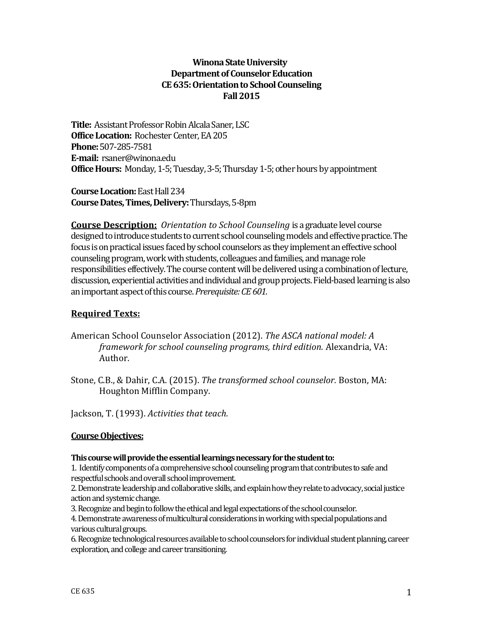# **Winona State University Department of Counselor Education CE 635: Orientation to School Counseling Fall 2015**

**Title:** Assistant Professor Robin Alcala Saner, LSC **Office Location:** Rochester Center, EA 205 **Phone:**507-285-7581 **E-mail:** rsaner@winona.edu **Office Hours:** Monday, 1-5; Tuesday, 3-5; Thursday 1-5; other hours by appointment

**Course Location: East Hall 234 Course Dates, Times, Delivery:**Thursdays, 5-8pm

**Course Description:** *Orientation to School Counseling* is a graduate level course designed to introduce students to current school counseling models and effective practice. The focus is on practical issues faced by school counselors as they implement an effective school counseling program, work with students, colleagues and families, and manage role responsibilities effectively. The course content will be delivered using a combination of lecture, discussion, experiential activities and individual and group projects. Field-based learning is also an important aspect of this course. *Prerequisite: CE 601.* 

# **Required Texts:**

- American School Counselor Association (2012). *The ASCA national model: A framework for school counseling programs, third edition.* Alexandria, VA: Author.
- Stone, C.B., & Dahir, C.A. (2015). *The transformed school counselor.* Boston, MA: Houghton Mifflin Company.

Jackson, T. (1993). *Activities that teach.* 

# **Course Objectives:**

## **This course will provide the essential learnings necessary for the student to:**

1. Identify components of a comprehensive school counseling program that contributes to safe and respectful schools and overall school improvement.

2. Demonstrate leadership and collaborative skills, and explain how they relate to advocacy, social justice action and systemic change.

3. Recognize and begin to follow the ethical and legal expectations of the school counselor.

4. Demonstrate awareness of multicultural considerations in working with special populations and various cultural groups.

6. Recognize technological resources available to school counselors for individual student planning, career exploration, and college and career transitioning.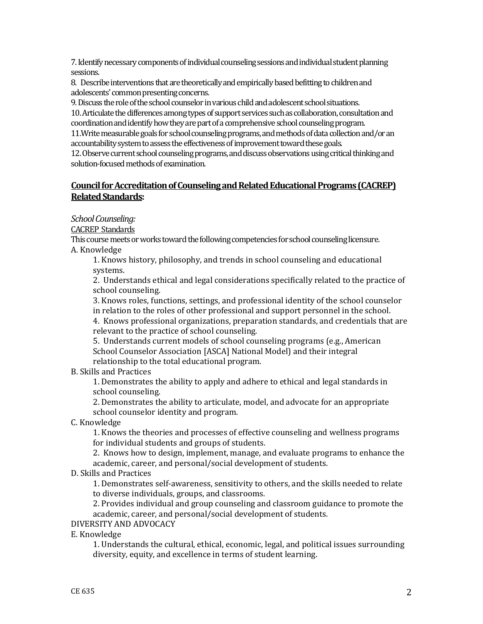7. Identify necessary components of individual counseling sessions and individual student planning sessions.

8. Describe interventions that are theoretically and empirically based befitting to children and adolescents' common presenting concerns.

9. Discuss the role of the school counselor in various child and adolescent school situations.

10. Articulate the differences among types of support services such as collaboration, consultation and coordination and identify how they are part of a comprehensive school counseling program.

11.Write measurable goals for school counseling programs, and methods of data collection and/or an accountability system to assess the effectiveness of improvement toward these goals.

12. Observe current school counseling programs, and discuss observations using critical thinking and solution-focused methods of examination.

## **Council for Accreditation of Counseling and Related Educational Programs (CACREP) Related Standards:**

## *School Counseling:*

CACREP Standards

This course meets or works toward the following competencies for school counseling licensure. A. Knowledge

1. Knows history, philosophy, and trends in school counseling and educational systems.

2. Understands ethical and legal considerations specifically related to the practice of school counseling.

3. Knows roles, functions, settings, and professional identity of the school counselor in relation to the roles of other professional and support personnel in the school.

4. Knows professional organizations, preparation standards, and credentials that are relevant to the practice of school counseling.

5. Understands current models of school counseling programs (e.g., American School Counselor Association [ASCA] National Model) and their integral relationship to the total educational program.

B. Skills and Practices

1. Demonstrates the ability to apply and adhere to ethical and legal standards in school counseling.

2. Demonstrates the ability to articulate, model, and advocate for an appropriate school counselor identity and program.

C. Knowledge

1. Knows the theories and processes of effective counseling and wellness programs for individual students and groups of students.

2. Knows how to design, implement, manage, and evaluate programs to enhance the academic, career, and personal/social development of students.

D. Skills and Practices

1. Demonstrates self-awareness, sensitivity to others, and the skills needed to relate to diverse individuals, groups, and classrooms.

2. Provides individual and group counseling and classroom guidance to promote the academic, career, and personal/social development of students.

DIVERSITY AND ADVOCACY

E. Knowledge

1. Understands the cultural, ethical, economic, legal, and political issues surrounding diversity, equity, and excellence in terms of student learning.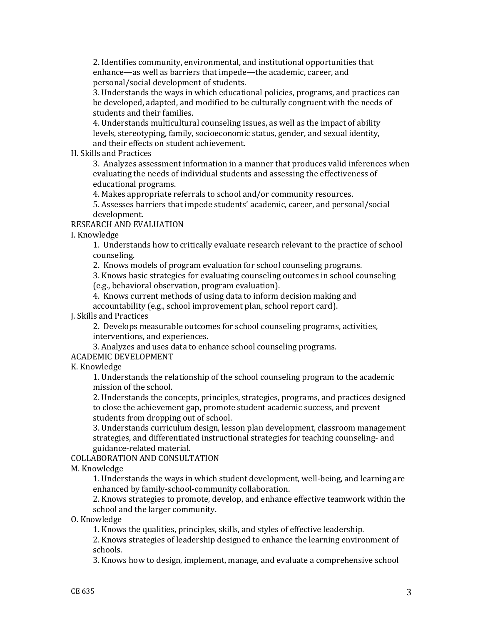2. Identifies community, environmental, and institutional opportunities that enhance—as well as barriers that impede—the academic, career, and personal/social development of students.

3. Understands the ways in which educational policies, programs, and practices can be developed, adapted, and modified to be culturally congruent with the needs of students and their families.

4. Understands multicultural counseling issues, as well as the impact of ability levels, stereotyping, family, socioeconomic status, gender, and sexual identity, and their effects on student achievement.

H. Skills and Practices

3. Analyzes assessment information in a manner that produces valid inferences when evaluating the needs of individual students and assessing the effectiveness of educational programs.

4. Makes appropriate referrals to school and/or community resources.

5. Assesses barriers that impede students' academic, career, and personal/social development.

## RESEARCH AND EVALUATION

I. Knowledge

1. Understands how to critically evaluate research relevant to the practice of school counseling.

2. Knows models of program evaluation for school counseling programs.

3. Knows basic strategies for evaluating counseling outcomes in school counseling

(e.g., behavioral observation, program evaluation).

4. Knows current methods of using data to inform decision making and accountability (e.g., school improvement plan, school report card).

## J. Skills and Practices

2. Develops measurable outcomes for school counseling programs, activities, interventions, and experiences.

3. Analyzes and uses data to enhance school counseling programs.

## ACADEMIC DEVELOPMENT

K. Knowledge

1. Understands the relationship of the school counseling program to the academic mission of the school.

2. Understands the concepts, principles, strategies, programs, and practices designed to close the achievement gap, promote student academic success, and prevent students from dropping out of school.

3. Understands curriculum design, lesson plan development, classroom management strategies, and differentiated instructional strategies for teaching counseling- and guidance-related material.

## COLLABORATION AND CONSULTATION

M. Knowledge

1. Understands the ways in which student development, well-being, and learning are enhanced by family-school-community collaboration.

2. Knows strategies to promote, develop, and enhance effective teamwork within the school and the larger community.

O. Knowledge

1. Knows the qualities, principles, skills, and styles of effective leadership.

2. Knows strategies of leadership designed to enhance the learning environment of schools.

3. Knows how to design, implement, manage, and evaluate a comprehensive school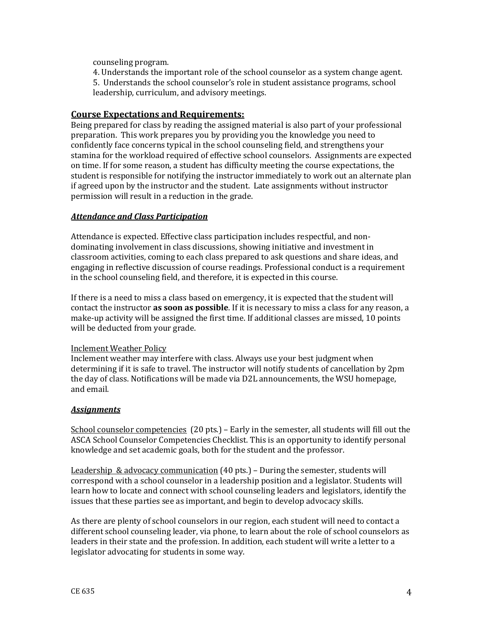counseling program.

4. Understands the important role of the school counselor as a system change agent. 5. Understands the school counselor's role in student assistance programs, school leadership, curriculum, and advisory meetings.

## **Course Expectations and Requirements:**

Being prepared for class by reading the assigned material is also part of your professional preparation. This work prepares you by providing you the knowledge you need to confidently face concerns typical in the school counseling field, and strengthens your stamina for the workload required of effective school counselors. Assignments are expected on time. If for some reason, a student has difficulty meeting the course expectations, the student is responsible for notifying the instructor immediately to work out an alternate plan if agreed upon by the instructor and the student. Late assignments without instructor permission will result in a reduction in the grade.

## *Attendance and Class Participation*

Attendance is expected. Effective class participation includes respectful, and nondominating involvement in class discussions, showing initiative and investment in classroom activities, coming to each class prepared to ask questions and share ideas, and engaging in reflective discussion of course readings. Professional conduct is a requirement in the school counseling field, and therefore, it is expected in this course.

If there is a need to miss a class based on emergency, it is expected that the student will contact the instructor **as soon as possible**. If it is necessary to miss a class for any reason, a make-up activity will be assigned the first time. If additional classes are missed, 10 points will be deducted from your grade.

#### Inclement Weather Policy

Inclement weather may interfere with class. Always use your best judgment when determining if it is safe to travel. The instructor will notify students of cancellation by 2pm the day of class. Notifications will be made via D2L announcements, the WSU homepage, and email.

#### *Assignments*

School counselor competencies (20 pts.) – Early in the semester, all students will fill out the ASCA School Counselor Competencies Checklist. This is an opportunity to identify personal knowledge and set academic goals, both for the student and the professor.

Leadership & advocacy communication (40 pts.) – During the semester, students will correspond with a school counselor in a leadership position and a legislator. Students will learn how to locate and connect with school counseling leaders and legislators, identify the issues that these parties see as important, and begin to develop advocacy skills.

As there are plenty of school counselors in our region, each student will need to contact a different school counseling leader, via phone, to learn about the role of school counselors as leaders in their state and the profession. In addition, each student will write a letter to a legislator advocating for students in some way.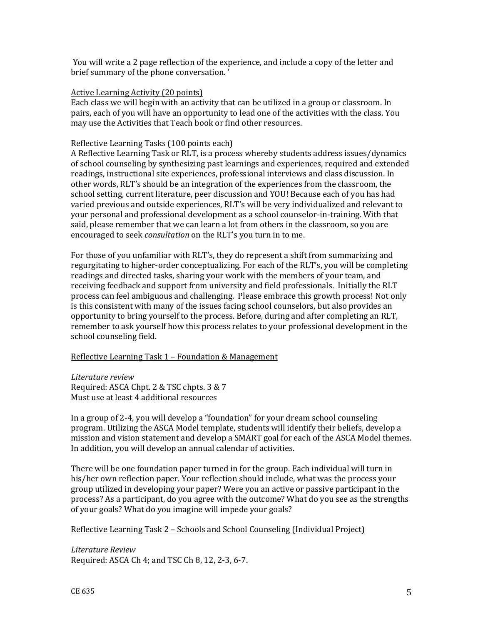You will write a 2 page reflection of the experience, and include a copy of the letter and brief summary of the phone conversation. '

#### Active Learning Activity (20 points)

Each class we will begin with an activity that can be utilized in a group or classroom. In pairs, each of you will have an opportunity to lead one of the activities with the class. You may use the Activities that Teach book or find other resources.

#### Reflective Learning Tasks (100 points each)

A Reflective Learning Task or RLT, is a process whereby students address issues/dynamics of school counseling by synthesizing past learnings and experiences, required and extended readings, instructional site experiences, professional interviews and class discussion. In other words, RLT's should be an integration of the experiences from the classroom, the school setting, current literature, peer discussion and YOU! Because each of you has had varied previous and outside experiences, RLT's will be very individualized and relevant to your personal and professional development as a school counselor-in-training. With that said, please remember that we can learn a lot from others in the classroom, so you are encouraged to seek *consultation* on the RLT's you turn in to me.

For those of you unfamiliar with RLT's, they do represent a shift from summarizing and regurgitating to higher-order conceptualizing. For each of the RLT's, you will be completing readings and directed tasks, sharing your work with the members of your team, and receiving feedback and support from university and field professionals. Initially the RLT process can feel ambiguous and challenging. Please embrace this growth process! Not only is this consistent with many of the issues facing school counselors, but also provides an opportunity to bring yourself to the process. Before, during and after completing an RLT, remember to ask yourself how this process relates to your professional development in the school counseling field.

#### Reflective Learning Task 1 – Foundation & Management

*Literature review* Required: ASCA Chpt. 2 & TSC chpts. 3 & 7 Must use at least 4 additional resources

In a group of 2-4, you will develop a "foundation" for your dream school counseling program. Utilizing the ASCA Model template, students will identify their beliefs, develop a mission and vision statement and develop a SMART goal for each of the ASCA Model themes. In addition, you will develop an annual calendar of activities.

There will be one foundation paper turned in for the group. Each individual will turn in his/her own reflection paper. Your reflection should include, what was the process your group utilized in developing your paper? Were you an active or passive participant in the process? As a participant, do you agree with the outcome? What do you see as the strengths of your goals? What do you imagine will impede your goals?

#### Reflective Learning Task 2 – Schools and School Counseling (Individual Project)

*Literature Review* Required: ASCA Ch 4; and TSC Ch 8, 12, 2-3, 6-7.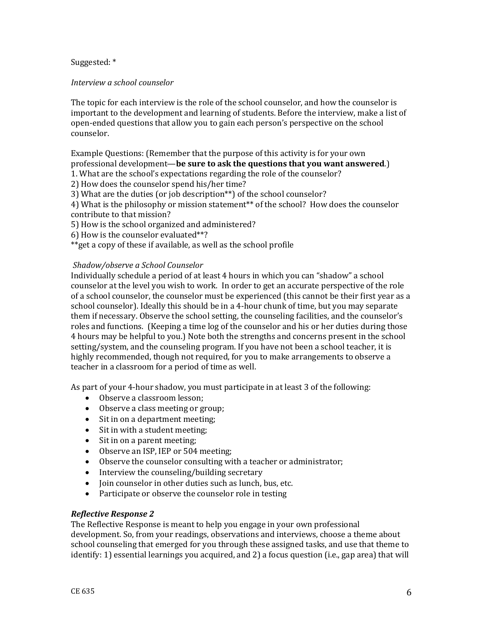Suggested: \*

*Interview a school counselor*

The topic for each interview is the role of the school counselor, and how the counselor is important to the development and learning of students. Before the interview, make a list of open-ended questions that allow you to gain each person's perspective on the school counselor.

Example Questions: (Remember that the purpose of this activity is for your own professional development—**be sure to ask the questions that you want answered**.)

1. What are the school's expectations regarding the role of the counselor?

2) How does the counselor spend his/her time?

3) What are the duties (or job description\*\*) of the school counselor?

4) What is the philosophy or mission statement\*\* of the school? How does the counselor contribute to that mission?

5) How is the school organized and administered?

6) How is the counselor evaluated\*\*?

\*\*get a copy of these if available, as well as the school profile

#### *Shadow/observe a School Counselor*

Individually schedule a period of at least 4 hours in which you can "shadow" a school counselor at the level you wish to work. In order to get an accurate perspective of the role of a school counselor, the counselor must be experienced (this cannot be their first year as a school counselor). Ideally this should be in a 4-hour chunk of time, but you may separate them if necessary. Observe the school setting, the counseling facilities, and the counselor's roles and functions. (Keeping a time log of the counselor and his or her duties during those 4 hours may be helpful to you.) Note both the strengths and concerns present in the school setting/system, and the counseling program. If you have not been a school teacher, it is highly recommended, though not required, for you to make arrangements to observe a teacher in a classroom for a period of time as well.

As part of your 4-hour shadow, you must participate in at least 3 of the following:

- Observe a classroom lesson:
- Observe a class meeting or group;
- Sit in on a department meeting;
- Sit in with a student meeting;
- Sit in on a parent meeting;
- Observe an ISP, IEP or 504 meeting;
- Observe the counselor consulting with a teacher or administrator;
- Interview the counseling/building secretary
- Join counselor in other duties such as lunch, bus, etc.
- Participate or observe the counselor role in testing

#### *Reflective Response 2*

The Reflective Response is meant to help you engage in your own professional development. So, from your readings, observations and interviews, choose a theme about school counseling that emerged for you through these assigned tasks, and use that theme to identify: 1) essential learnings you acquired, and 2) a focus question (i.e., gap area) that will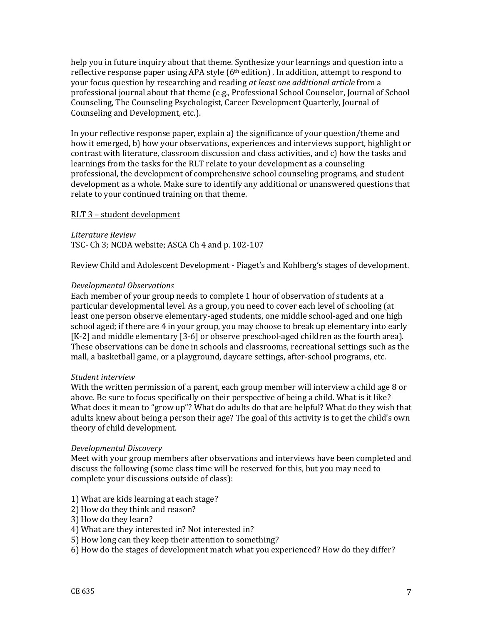help you in future inquiry about that theme. Synthesize your learnings and question into a reflective response paper using APA style  $(6<sup>th</sup> edition)$ . In addition, attempt to respond to your focus question by researching and reading *at least one additional article* from a professional journal about that theme (e.g., Professional School Counselor, Journal of School Counseling, The Counseling Psychologist, Career Development Quarterly, Journal of Counseling and Development, etc.).

In your reflective response paper, explain a) the significance of your question/theme and how it emerged, b) how your observations, experiences and interviews support, highlight or contrast with literature, classroom discussion and class activities, and c) how the tasks and learnings from the tasks for the RLT relate to your development as a counseling professional, the development of comprehensive school counseling programs, and student development as a whole. Make sure to identify any additional or unanswered questions that relate to your continued training on that theme.

#### RLT 3 – student development

*Literature Review* TSC- Ch 3; NCDA website; ASCA Ch 4 and p. 102-107

Review Child and Adolescent Development - Piaget's and Kohlberg's stages of development.

## *Developmental Observations*

Each member of your group needs to complete 1 hour of observation of students at a particular developmental level. As a group, you need to cover each level of schooling (at least one person observe elementary-aged students, one middle school-aged and one high school aged; if there are 4 in your group, you may choose to break up elementary into early [K-2] and middle elementary [3-6] or observe preschool-aged children as the fourth area). These observations can be done in schools and classrooms, recreational settings such as the mall, a basketball game, or a playground, daycare settings, after-school programs, etc.

#### *Student interview*

With the written permission of a parent, each group member will interview a child age 8 or above. Be sure to focus specifically on their perspective of being a child. What is it like? What does it mean to "grow up"? What do adults do that are helpful? What do they wish that adults knew about being a person their age? The goal of this activity is to get the child's own theory of child development.

#### *Developmental Discovery*

Meet with your group members after observations and interviews have been completed and discuss the following (some class time will be reserved for this, but you may need to complete your discussions outside of class):

#### 1) What are kids learning at each stage?

- 2) How do they think and reason?
- 3) How do they learn?
- 4) What are they interested in? Not interested in?
- 5) How long can they keep their attention to something?
- 6) How do the stages of development match what you experienced? How do they differ?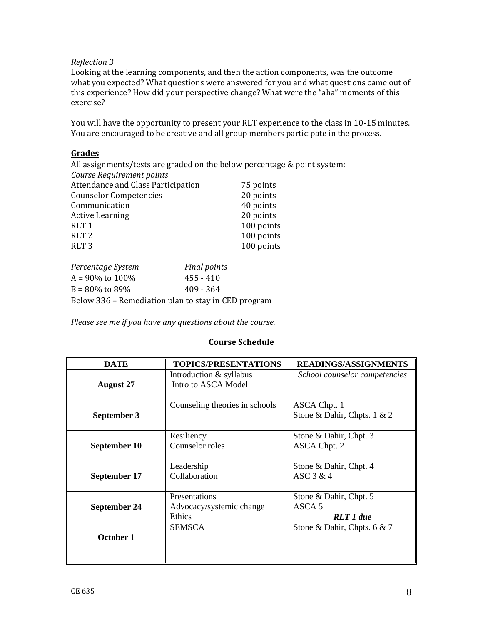## *Reflection 3*

Looking at the learning components, and then the action components, was the outcome what you expected? What questions were answered for you and what questions came out of this experience? How did your perspective change? What were the "aha" moments of this exercise?

You will have the opportunity to present your RLT experience to the class in 10-15 minutes. You are encouraged to be creative and all group members participate in the process.

## **Grades**

All assignments/tests are graded on the below percentage & point system:

| Course Requirement points          |            |
|------------------------------------|------------|
| Attendance and Class Participation | 75 points  |
| <b>Counselor Competencies</b>      | 20 points  |
| Communication                      | 40 points  |
| <b>Active Learning</b>             | 20 points  |
| RLT <sub>1</sub>                   | 100 points |
| RLT <sub>2</sub>                   | 100 points |
| RLT <sub>3</sub>                   | 100 points |
|                                    |            |

| Percentage System                                   | <b>Final points</b> |
|-----------------------------------------------------|---------------------|
| $A = 90\%$ to 100%                                  | $455 - 410$         |
| $B = 80\%$ to 89%                                   | $409 - 364$         |
| Below 336 - Remediation plan to stay in CED program |                     |

*Please see me if you have any questions about the course.*

## **Course Schedule**

| <b>DATE</b>      | <b>TOPICS/PRESENTATIONS</b>                                | <b>READINGS/ASSIGNMENTS</b>                    |
|------------------|------------------------------------------------------------|------------------------------------------------|
| <b>August 27</b> | Introduction & syllabus<br>Intro to ASCA Model             | School counselor competencies                  |
| September 3      | Counseling theories in schools                             | ASCA Chpt. 1<br>Stone & Dahir, Chpts. $1 \& 2$ |
| September 10     | Resiliency<br>Counselor roles                              | Stone & Dahir, Chpt. 3<br>ASCA Chpt. 2         |
| September 17     | Leadership<br>Collaboration                                | Stone & Dahir, Chpt. 4<br>ASC $3 & 4$          |
| September 24     | Presentations<br>Advocacy/systemic change<br><b>Ethics</b> | Stone & Dahir, Chpt. 5<br>ASCA 5<br>RLT 1 due  |
| October 1        | <b>SEMSCA</b>                                              | Stone & Dahir, Chpts. 6 & 7                    |
|                  |                                                            |                                                |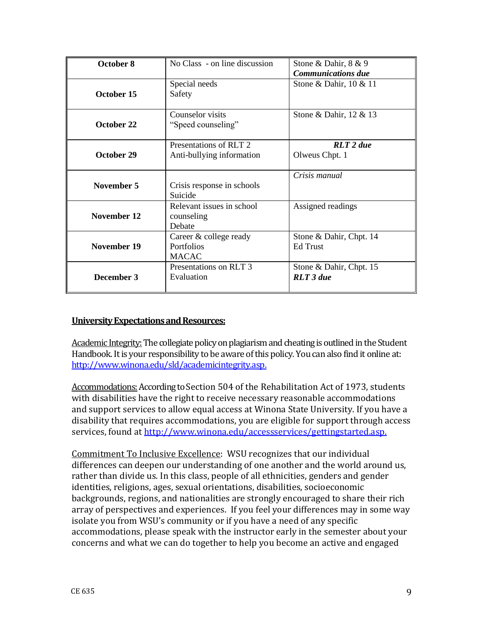| October 8   | No Class - on line discussion                        | Stone & Dahir, 8 & 9<br><b>Communications due</b> |
|-------------|------------------------------------------------------|---------------------------------------------------|
| October 15  | Special needs<br>Safety                              | Stone & Dahir, 10 & 11                            |
| October 22  | Counselor visits<br>"Speed counseling"               | Stone & Dahir, 12 & 13                            |
| October 29  | Presentations of RLT 2.<br>Anti-bullying information | $RLT$ 2 due<br>Olweus Chpt. 1                     |
| November 5  | Crisis response in schools<br>Suicide                | Crisis manual                                     |
| November 12 | Relevant issues in school<br>counseling<br>Debate    | Assigned readings                                 |
| November 19 | Career & college ready<br>Portfolios<br><b>MACAC</b> | Stone & Dahir, Chpt. 14<br><b>Ed Trust</b>        |
| December 3  | Presentations on RLT 3<br>Evaluation                 | Stone & Dahir, Chpt. 15<br><b>RLT</b> 3 due       |

# **University Expectations and Resources:**

Academic Integrity: The collegiate policy on plagiarism and cheating is outlined in the Student Handbook. It is your responsibility to be aware of this policy. You can also find it online at: [http://www.winona.edu/sld/academicintegrity.asp.](http://www.winona.edu/sld/academicintegrity.asp)

Accommodations:According to Section 504 of the Rehabilitation Act of 1973, students with disabilities have the right to receive necessary reasonable accommodations and support services to allow equal access at Winona State University. If you have a disability that requires accommodations, you are eligible for support through access services, found at [http://www.winona.edu/accessservices/gettingstarted.asp.](http://www.winona.edu/accessservices/gettingstarted.asp)

Commitment To Inclusive Excellence: WSU recognizes that our individual differences can deepen our understanding of one another and the world around us, rather than divide us. In this class, people of all ethnicities, genders and gender identities, religions, ages, sexual orientations, disabilities, socioeconomic backgrounds, regions, and nationalities are strongly encouraged to share their rich array of perspectives and experiences. If you feel your differences may in some way isolate you from WSU's community or if you have a need of any specific accommodations, please speak with the instructor early in the semester about your concerns and what we can do together to help you become an active and engaged